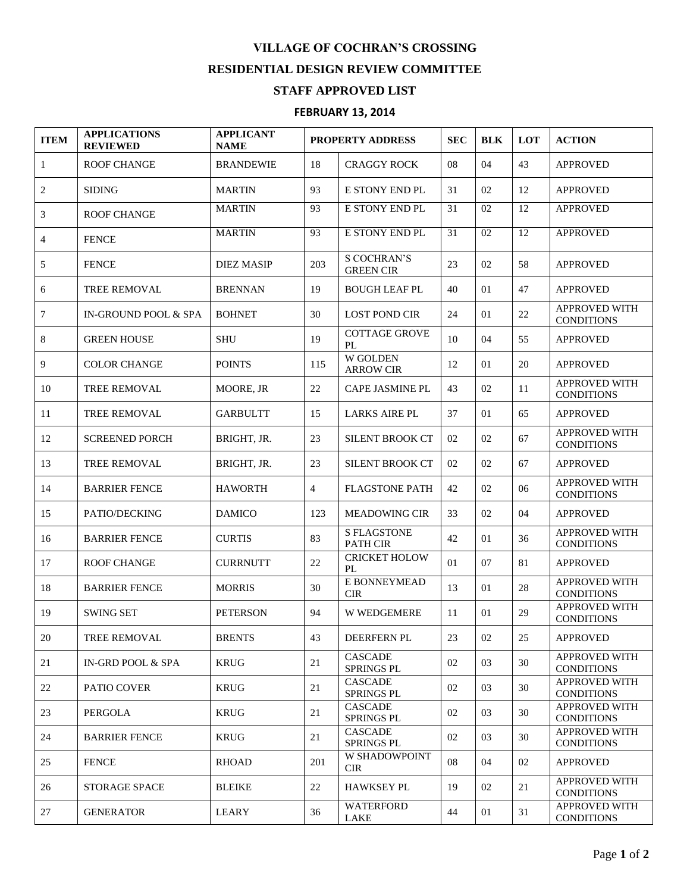## **VILLAGE OF COCHRAN'S CROSSING RESIDENTIAL DESIGN REVIEW COMMITTEE**

## **STAFF APPROVED LIST**

## **FEBRUARY 13, 2014**

| <b>ITEM</b>  | <b>APPLICATIONS</b><br><b>REVIEWED</b> | <b>APPLICANT</b><br><b>NAME</b> | <b>PROPERTY ADDRESS</b> |                                        | <b>SEC</b> | <b>BLK</b> | <b>LOT</b> | <b>ACTION</b>                             |
|--------------|----------------------------------------|---------------------------------|-------------------------|----------------------------------------|------------|------------|------------|-------------------------------------------|
| $\mathbf{1}$ | <b>ROOF CHANGE</b>                     | <b>BRANDEWIE</b>                | 18                      | <b>CRAGGY ROCK</b>                     | 08         | 04         | 43         | <b>APPROVED</b>                           |
| 2            | <b>SIDING</b>                          | <b>MARTIN</b>                   | 93                      | E STONY END PL                         | 31         | 02         | 12         | <b>APPROVED</b>                           |
| 3            | <b>ROOF CHANGE</b>                     | <b>MARTIN</b>                   | 93                      | E STONY END PL                         | 31         | 02         | 12         | <b>APPROVED</b>                           |
| 4            | <b>FENCE</b>                           | <b>MARTIN</b>                   | 93                      | E STONY END PL                         | 31         | 02         | 12         | <b>APPROVED</b>                           |
| 5            | <b>FENCE</b>                           | <b>DIEZ MASIP</b>               | 203                     | <b>S COCHRAN'S</b><br><b>GREEN CIR</b> | 23         | 02         | 58         | <b>APPROVED</b>                           |
| 6            | TREE REMOVAL                           | <b>BRENNAN</b>                  | 19                      | <b>BOUGH LEAF PL</b>                   | 40         | 01         | 47         | <b>APPROVED</b>                           |
| 7            | <b>IN-GROUND POOL &amp; SPA</b>        | <b>BOHNET</b>                   | 30                      | <b>LOST POND CIR</b>                   | 24         | 01         | 22         | APPROVED WITH<br><b>CONDITIONS</b>        |
| 8            | <b>GREEN HOUSE</b>                     | <b>SHU</b>                      | 19                      | <b>COTTAGE GROVE</b><br>PL             | 10         | 04         | 55         | <b>APPROVED</b>                           |
| 9            | <b>COLOR CHANGE</b>                    | <b>POINTS</b>                   | 115                     | <b>W GOLDEN</b><br><b>ARROW CIR</b>    | 12         | 01         | 20         | <b>APPROVED</b>                           |
| 10           | <b>TREE REMOVAL</b>                    | MOORE, JR                       | 22                      | <b>CAPE JASMINE PL</b>                 | 43         | 02         | 11         | <b>APPROVED WITH</b><br><b>CONDITIONS</b> |
| 11           | TREE REMOVAL                           | <b>GARBULTT</b>                 | 15                      | <b>LARKS AIRE PL</b>                   | 37         | 01         | 65         | <b>APPROVED</b>                           |
| 12           | <b>SCREENED PORCH</b>                  | BRIGHT, JR.                     | 23                      | <b>SILENT BROOK CT</b>                 | 02         | 02         | 67         | APPROVED WITH<br><b>CONDITIONS</b>        |
| 13           | <b>TREE REMOVAL</b>                    | BRIGHT, JR.                     | 23                      | SILENT BROOK CT                        | 02         | 02         | 67         | <b>APPROVED</b>                           |
| 14           | <b>BARRIER FENCE</b>                   | <b>HAWORTH</b>                  | $\overline{4}$          | <b>FLAGSTONE PATH</b>                  | 42         | 02         | 06         | <b>APPROVED WITH</b><br><b>CONDITIONS</b> |
| 15           | PATIO/DECKING                          | <b>DAMICO</b>                   | 123                     | <b>MEADOWING CIR</b>                   | 33         | 02         | 04         | <b>APPROVED</b>                           |
| 16           | <b>BARRIER FENCE</b>                   | <b>CURTIS</b>                   | 83                      | <b>S FLAGSTONE</b><br><b>PATH CIR</b>  | 42         | 01         | 36         | <b>APPROVED WITH</b><br><b>CONDITIONS</b> |
| 17           | <b>ROOF CHANGE</b>                     | <b>CURRNUTT</b>                 | 22                      | <b>CRICKET HOLOW</b><br>PL             | 01         | 07         | 81         | <b>APPROVED</b>                           |
| 18           | <b>BARRIER FENCE</b>                   | <b>MORRIS</b>                   | 30                      | E BONNEYMEAD<br><b>CIR</b>             | 13         | 01         | 28         | APPROVED WITH<br><b>CONDITIONS</b>        |
| 19           | <b>SWING SET</b>                       | <b>PETERSON</b>                 | 94                      | W WEDGEMERE                            | 11         | 01         | 29         | <b>APPROVED WITH</b><br><b>CONDITIONS</b> |
| 20           | <b>TREE REMOVAL</b>                    | <b>BRENTS</b>                   | 43                      | <b>DEERFERN PL</b>                     | 23         | 02         | 25         | <b>APPROVED</b>                           |
| 21           | IN-GRD POOL & SPA                      | <b>KRUG</b>                     | 21                      | <b>CASCADE</b><br>SPRINGS PL           | 02         | 03         | 30         | <b>APPROVED WITH</b><br><b>CONDITIONS</b> |
| 22           | <b>PATIO COVER</b>                     | <b>KRUG</b>                     | 21                      | <b>CASCADE</b><br>SPRINGS PL           | 02         | 03         | 30         | <b>APPROVED WITH</b><br><b>CONDITIONS</b> |
| 23           | <b>PERGOLA</b>                         | <b>KRUG</b>                     | 21                      | <b>CASCADE</b><br>SPRINGS PL           | 02         | 03         | 30         | <b>APPROVED WITH</b><br><b>CONDITIONS</b> |
| 24           | <b>BARRIER FENCE</b>                   | <b>KRUG</b>                     | 21                      | <b>CASCADE</b><br>SPRINGS PL           | 02         | 03         | 30         | APPROVED WITH<br><b>CONDITIONS</b>        |
| 25           | <b>FENCE</b>                           | <b>RHOAD</b>                    | 201                     | W SHADOWPOINT<br><b>CIR</b>            | 08         | 04         | 02         | <b>APPROVED</b>                           |
| 26           | <b>STORAGE SPACE</b>                   | <b>BLEIKE</b>                   | 22                      | <b>HAWKSEY PL</b>                      | 19         | 02         | 21         | APPROVED WITH<br><b>CONDITIONS</b>        |
| 27           | <b>GENERATOR</b>                       | <b>LEARY</b>                    | 36                      | <b>WATERFORD</b><br>LAKE               | 44         | 01         | 31         | <b>APPROVED WITH</b><br><b>CONDITIONS</b> |